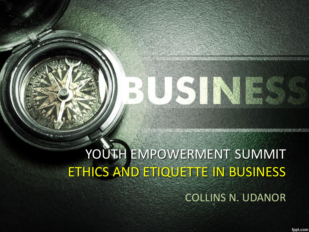# YOUTH EMPOWERMENT SUMMIT ETHICS AND ETIQUETTE IN BUSINESS

COLLINS N. UDANOR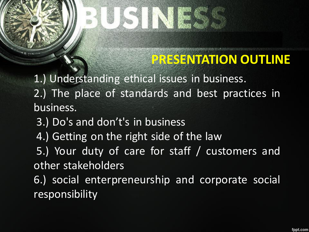### **PRESENTATION OUTLINE**

1.) Understanding ethical issues in business. 2.) The place of standards and best practices in business.

3.) Do's and don't's in business

4.) Getting on the right side of the law

 5.) Your duty of care for staff / customers and other stakeholders

6.) social enterpreneurship and corporate social responsibility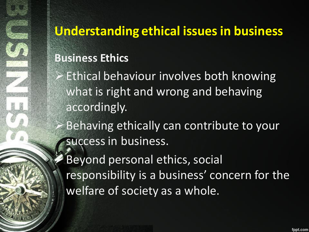### **Understanding ethical issues in business**

### **Business Ethics**

Ethical behaviour involves both knowing what is right and wrong and behaving accordingly.

Behaving ethically can contribute to your success in business.

Beyond personal ethics, social responsibility is a business' concern for the welfare of society as a whole.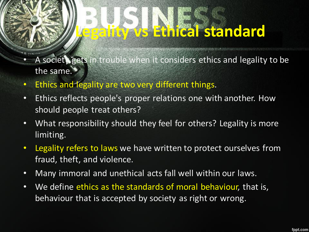# **Legality vs Ethical standard**

- A society gets in trouble when it considers ethics and legality to be the same.
- Ethics and legality are two very different things.
- Ethics reflects people's proper relations one with another. How should people treat others?
- What responsibility should they feel for others? Legality is more limiting.
- Legality refers to laws we have written to protect ourselves from fraud, theft, and violence.
- Many immoral and unethical acts fall well within our laws.
- We define ethics as the standards of moral behaviour, that is, behaviour that is accepted by society as right or wrong.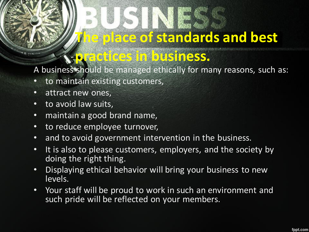## **The place of standards and best**

### **practices in business.**

A business should be managed ethically for many reasons, such as:

- to maintain existing customers,
- attract new ones,
- to avoid law suits,
- maintain a good brand name,
- to reduce employee turnover,
- and to avoid government intervention in the business.
- It is also to please customers, employers, and the society by doing the right thing.
- Displaying ethical behavior will bring your business to new levels.
- Your staff will be proud to work in such an environment and such pride will be reflected on your members.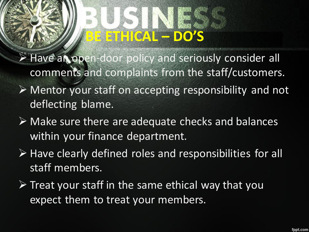# **BE ETHICAL – DO'S**

 $\triangleright$  Have an open-door policy and seriously consider all comments and complaints from the staff/customers.

- $\triangleright$  Mentor your staff on accepting responsibility and not deflecting blame.
- $\triangleright$  Make sure there are adequate checks and balances within your finance department.
- $\triangleright$  Have clearly defined roles and responsibilities for all staff members.
- $\triangleright$  Treat your staff in the same ethical way that you expect them to treat your members.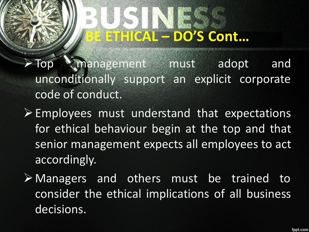# **BE ETHICAL – DO'S Cont…**

>Top management must adopt and unconditionally support an explicit corporate code of conduct.

 $\triangleright$  Employees must understand that expectations for ethical behaviour begin at the top and that senior management expects all employees to act accordingly.

Managers and others must be trained to consider the ethical implications of all business decisions.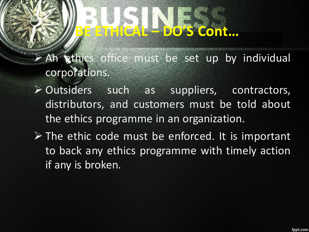# **BE ETHICAL – DO'S Cont…**

> An ethics office must be set up by individual corporations.

- Outsiders such as suppliers, contractors, distributors, and customers must be told about the ethics programme in an organization.
- $\triangleright$  The ethic code must be enforced. It is important to back any ethics programme with timely action if any is broken.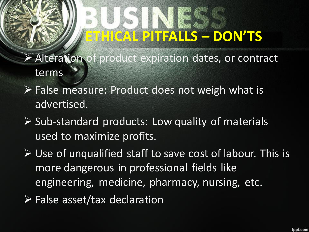# **ETHICAL PITFALLS – DON'TS**

- Alteration of product expiration dates, or contract terms
- $\triangleright$  False measure: Product does not weigh what is advertised.
- $\triangleright$  Sub-standard products: Low quality of materials used to maximize profits.
- $\triangleright$  Use of unqualified staff to save cost of labour. This is more dangerous in professional fields like engineering, medicine, pharmacy, nursing, etc.
- False asset/tax declaration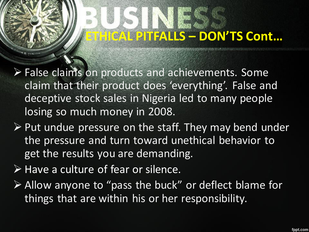# **ETHICAL PITFALLS – DON'TS Cont…**

- False claims on products and achievements. Some claim that their product does 'everything'. False and deceptive stock sales in Nigeria led to many people losing so much money in 2008.
- $\triangleright$  Put undue pressure on the staff. They may bend under the pressure and turn toward unethical behavior to get the results you are demanding.
- $\triangleright$  Have a culture of fear or silence.
- Allow anyone to "pass the buck" or deflect blame for things that are within his or her responsibility.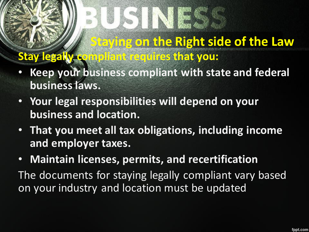### **Staying on the Right side of the Law Stay legally compliant requires that you:**

- **Keep your business compliant with state and federal business laws.**
- **Your legal responsibilities will depend on your business and location.**
- **That you meet all tax obligations, including income and employer taxes.**
- **Maintain licenses, permits, and recertification**  The documents for staying legally compliant vary based on your industry and location must be updated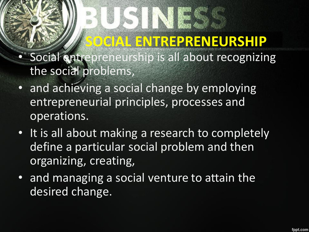## **SOCIAL ENTREPRENEURSHIP**

- Social entrepreneurship is all about recognizing the social problems,
- and achieving a social change by employing entrepreneurial principles, processes and operations.
- It is all about making a research to completely define a particular social problem and then organizing, creating,
- and managing a social venture to attain the desired change.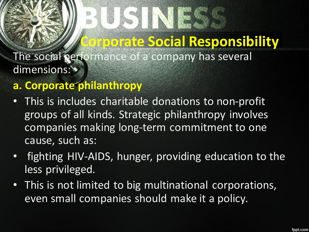### **Corporate Social Responsibility**

The social performance of a company has several dimensions:

#### **a. Corporate philanthropy**

- This is includes charitable donations to non-profit groups of all kinds. Strategic philanthropy involves companies making long-term commitment to one cause, such as:
- fighting HIV-AIDS, hunger, providing education to the less privileged.
- This is not limited to big multinational corporations, even small companies should make it a policy.